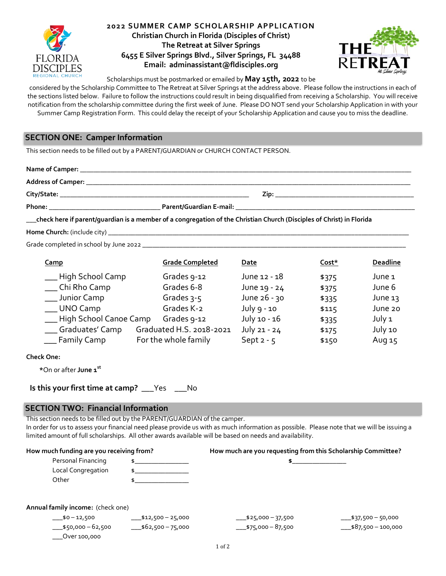

**2022 SUMMER CAMP SCHOLARSHIP AP PLICATION Christian Church in Florida (Disciples of Christ)**

**The Retreat at Silver Springs 6455 E Silver Springs Blvd., Silver Springs, FL 34488 Email: adminassistant@fldisciples.org**



Scholarships must be postmarked or emailed by **May 15th, 2022** to be

considered by the Scholarship Committee to The Retreat at Silver Springs at the address above. Please follow the instructions in each of the sections listed below. Failure to follow the instructions could result in being disqualified from receiving a Scholarship. You will receive notification from the scholarship committee during the first week of June. Please DO NOT send your Scholarship Application in with your Summer Camp Registration Form. This could delay the receipt of your Scholarship Application and cause you to miss the deadline.

# **SECTION ONE: Camper Information**

This section needs to be filled out by a PARENT/GUARDIAN or CHURCH CONTACT PERSON.

| Name of Camper: _         |                         |      |
|---------------------------|-------------------------|------|
| <b>Address of Camper:</b> |                         |      |
| City/State:               |                         | Zip: |
| Phone:                    | Parent/Guardian E-mail: |      |

\_\_\_**check here if parent/guardian is a member of a congregation of the Christian Church (Disciples of Christ) in Florida**

**Home Church:** (include city)

Grade completed in school by June 2022 \_\_\_\_\_\_\_\_\_\_\_\_\_\_\_\_\_\_\_\_\_\_\_\_\_\_\_\_\_\_\_\_\_\_\_\_\_\_\_\_\_\_\_\_\_\_\_\_\_\_\_\_\_\_\_\_\_\_\_\_\_\_\_\_\_\_\_\_\_\_\_\_\_\_\_\_\_\_

| <b>Camp</b>               | <b>Grade Completed</b>   | Date          | Cost* | <b>Deadline</b> |
|---------------------------|--------------------------|---------------|-------|-----------------|
| __ High School Camp       | Grades 9-12              | June 12 - 18  | \$375 | June 1          |
| ___ Chi Rho Camp          | Grades 6-8               | June 19 - 24  | \$375 | June 6          |
| ___ Junior Camp           | Grades $3-5$             | June 26 - 30  | \$335 | June $13$       |
| __ UNO Camp               | Grades K-2               | July $9 - 10$ | \$115 | June 20         |
| __ High School Canoe Camp | Grades 9-12              | July 10 - 16  | \$335 | July 1          |
| ___ Graduates' Camp       | Graduated H.S. 2018-2021 | July 21 - 24  | \$175 | July 10         |
| __ Family Camp            | For the whole family     | Sept $2 - 5$  | \$150 | Aug 15          |

**Check One:**

**\***On or after **June 1st** 

| Is this your first time at camp? | Yes | No |
|----------------------------------|-----|----|
|----------------------------------|-----|----|

# **SECTION TWO: Financial Information**

\_\_\_Over 100,000

This section needs to be filled out by the PARENT/GUARDIAN of the camper.

In order for us to assess your financial need please provide us with as much information as possible. Please note that we will be issuing a limited amount of full scholarships. All other awards available will be based on needs and availability.

| How much funding are you receiving from? |                       | How much are you requesting from this Scholarship Committee? |                        |
|------------------------------------------|-----------------------|--------------------------------------------------------------|------------------------|
| Personal Financing                       |                       |                                                              |                        |
| Local Congregation                       |                       |                                                              |                        |
| Other                                    |                       |                                                              |                        |
| Annual family income: (check one)        |                       |                                                              |                        |
| $-$ \$0 - 12,500                         | $-1512,500 - 25,000$  | $-$ \$25,000 - 37,500                                        | $-$ \$37,500 - 50,000  |
| $-$ \$50,000 - 62,500                    | $-$ \$62,500 – 75,000 | $-$ \$75,000 - 87,500                                        | $-$ \$87,500 - 100,000 |